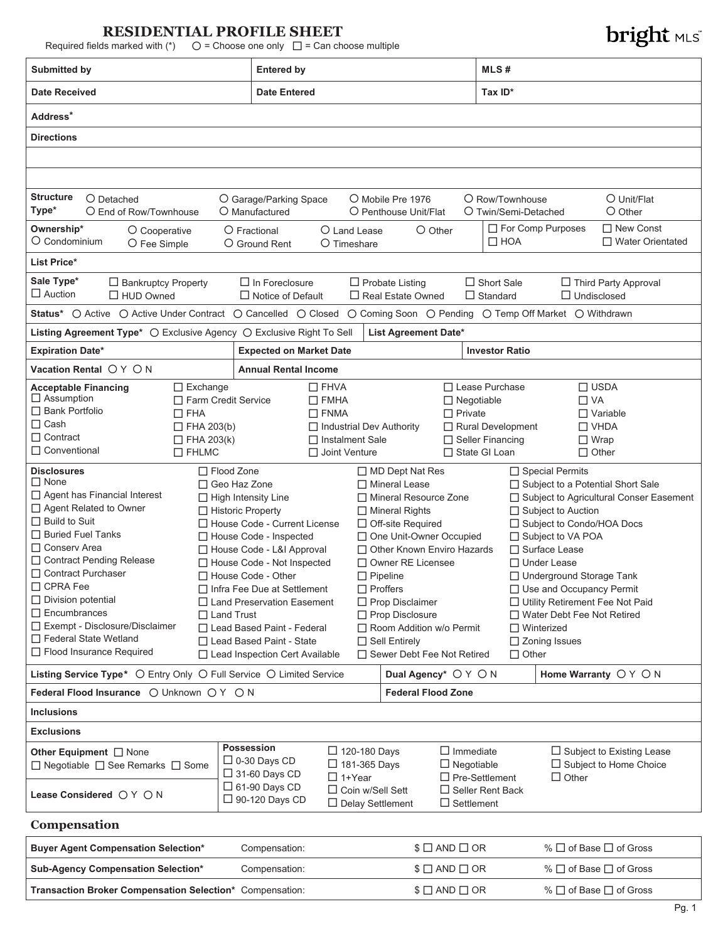# **RESIDENTIAL PROFILE SHEET**

Required fields marked with  $(*)$   $\bigcirc$  = Choose one only  $\bigcirc$  = Can choose multiple

| Submitted by                                                                                                        |                                                                       | <b>Entered by</b>                                          |                                                    |                                                           |                                                  | MLS#                                         |                                                                   |                                                                   |  |
|---------------------------------------------------------------------------------------------------------------------|-----------------------------------------------------------------------|------------------------------------------------------------|----------------------------------------------------|-----------------------------------------------------------|--------------------------------------------------|----------------------------------------------|-------------------------------------------------------------------|-------------------------------------------------------------------|--|
| <b>Date Received</b>                                                                                                |                                                                       |                                                            | <b>Date Entered</b>                                |                                                           |                                                  | Tax ID*                                      |                                                                   |                                                                   |  |
| Address*                                                                                                            |                                                                       |                                                            |                                                    |                                                           |                                                  |                                              |                                                                   |                                                                   |  |
| <b>Directions</b>                                                                                                   |                                                                       |                                                            |                                                    |                                                           |                                                  |                                              |                                                                   |                                                                   |  |
|                                                                                                                     |                                                                       |                                                            |                                                    |                                                           |                                                  |                                              |                                                                   |                                                                   |  |
|                                                                                                                     |                                                                       |                                                            |                                                    |                                                           |                                                  |                                              |                                                                   |                                                                   |  |
| <b>Structure</b><br>O Detached                                                                                      |                                                                       | O Garage/Parking Space                                     |                                                    | O Mobile Pre 1976                                         |                                                  | O Row/Townhouse                              |                                                                   | O Unit/Flat                                                       |  |
| Type*<br>O End of Row/Townhouse                                                                                     |                                                                       | O Manufactured                                             |                                                    | O Penthouse Unit/Flat                                     |                                                  | O Twin/Semi-Detached                         |                                                                   | $O$ Other                                                         |  |
| Ownership*<br>O Cooperative<br>O Condominium<br>O Fee Simple                                                        |                                                                       | O Fractional<br>O Ground Rent                              | O Land Lease<br>O Timeshare                        |                                                           | $O$ Other                                        | $\Box$ HOA                                   | For Comp Purposes                                                 | $\Box$ New Const<br>□ Water Orientated                            |  |
| List Price*                                                                                                         |                                                                       |                                                            |                                                    |                                                           |                                                  |                                              |                                                                   |                                                                   |  |
| Sale Type*<br>$\Box$ Bankruptcy Property<br>$\Box$ Auction<br>$\Box$ HUD Owned                                      |                                                                       | $\Box$ In Foreclosure<br>$\Box$ Notice of Default          |                                                    | $\Box$ Probate Listing<br>$\Box$ Real Estate Owned        |                                                  | $\Box$ Short Sale<br>$\Box$ Standard         | $\Box$ Undisclosed                                                | □ Third Party Approval                                            |  |
| Status* O Active O Active Under Contract O Cancelled O Closed O Coming Soon O Pending O Temp Off Market O Withdrawn |                                                                       |                                                            |                                                    |                                                           |                                                  |                                              |                                                                   |                                                                   |  |
| Listing Agreement Type* O Exclusive Agency O Exclusive Right To Sell                                                |                                                                       |                                                            |                                                    | List Agreement Date*                                      |                                                  |                                              |                                                                   |                                                                   |  |
| <b>Expiration Date*</b>                                                                                             |                                                                       | <b>Expected on Market Date</b>                             |                                                    |                                                           |                                                  | <b>Investor Ratio</b>                        |                                                                   |                                                                   |  |
| Vacation Rental ○ Y ○ N                                                                                             |                                                                       | <b>Annual Rental Income</b>                                |                                                    |                                                           |                                                  |                                              |                                                                   |                                                                   |  |
| <b>Acceptable Financing</b>                                                                                         | $\Box$ Exchange                                                       |                                                            | $\Box$ FHVA                                        |                                                           |                                                  | □ Lease Purchase                             |                                                                   | $\Box$ USDA                                                       |  |
| $\Box$ Assumption                                                                                                   | □ Farm Credit Service                                                 |                                                            | $\Box$ FMHA                                        |                                                           | $\Box$ Negotiable                                |                                              | $\Box$ VA                                                         |                                                                   |  |
| $\Box$ Bank Portfolio<br>$\Box$ Cash                                                                                | $\Box$ FHA                                                            |                                                            | $\Box$ FNMA                                        |                                                           | $\Box$ Private                                   |                                              |                                                                   | $\Box$ Variable                                                   |  |
| $\Box$ Contract                                                                                                     | $\Box$ FHA 203(b)<br>$\Box$ FHA 203(k)                                |                                                            | $\Box$ Instalment Sale                             | □ Industrial Dev Authority                                |                                                  | Rural Development<br>$\Box$ Seller Financing | $\Box$ Wrap                                                       | $\Box$ VHDA                                                       |  |
| □ Conventional                                                                                                      | $\Box$ FHLMC                                                          |                                                            | □ Joint Venture                                    |                                                           |                                                  | □ State GI Loan                              | $\Box$ Other                                                      |                                                                   |  |
| <b>Disclosures</b>                                                                                                  | $\Box$ Flood Zone                                                     |                                                            |                                                    | $\Box$ MD Dept Nat Res                                    |                                                  |                                              | □ Special Permits                                                 |                                                                   |  |
| $\Box$ None                                                                                                         |                                                                       | □ Geo Haz Zone                                             |                                                    | $\Box$ Mineral Lease                                      |                                                  |                                              | □ Subject to a Potential Short Sale                               |                                                                   |  |
| $\Box$ Agent has Financial Interest                                                                                 |                                                                       | □ High Intensity Line                                      |                                                    | □ Mineral Resource Zone                                   |                                                  |                                              |                                                                   | □ Subject to Agricultural Conser Easement                         |  |
| □ Agent Related to Owner<br>$\Box$ Build to Suit                                                                    |                                                                       | $\Box$ Historic Property                                   |                                                    | □ Mineral Rights                                          |                                                  |                                              | □ Subject to Auction                                              |                                                                   |  |
| $\Box$ Buried Fuel Tanks                                                                                            |                                                                       | □ House Code - Current License<br>□ House Code - Inspected |                                                    | □ Off-site Required                                       |                                                  |                                              | □ Subject to Condo/HOA Docs                                       |                                                                   |  |
| □ Conserv Area                                                                                                      |                                                                       | House Code - L&I Approval                                  |                                                    | □ One Unit-Owner Occupied<br>□ Other Known Enviro Hazards |                                                  |                                              | □ Subject to VA POA<br>□ Surface Lease                            |                                                                   |  |
| □ Contract Pending Release                                                                                          |                                                                       | □ House Code - Not Inspected                               |                                                    | $\Box$ Owner RE Licensee                                  |                                                  |                                              | $\Box$ Under Lease                                                |                                                                   |  |
| □ Contract Purchaser                                                                                                |                                                                       | House Code - Other                                         |                                                    | $\Box$ Pipeline                                           |                                                  |                                              | $\Box$ Underground Storage Tank                                   |                                                                   |  |
| □ CPRA Fee<br>$\Box$ Division potential                                                                             |                                                                       | □ Infra Fee Due at Settlement                              |                                                    | $\Box$ Proffers                                           |                                                  |                                              | □ Use and Occupancy Permit                                        |                                                                   |  |
| $\Box$ Encumbrances                                                                                                 | $\Box$ Land Trust                                                     | □ Land Preservation Easement                               |                                                    | $\Box$ Prop Disclaimer<br>Prop Disclosure                 |                                                  |                                              | □ Utility Retirement Fee Not Paid<br>□ Water Debt Fee Not Retired |                                                                   |  |
| □ Exempt - Disclosure/Disclaimer                                                                                    |                                                                       | □ Lead Based Paint - Federal                               |                                                    | Room Addition w/o Permit                                  |                                                  |                                              | $\Box$ Winterized                                                 |                                                                   |  |
| □ Federal State Wetland                                                                                             |                                                                       | □ Lead Based Paint - State                                 |                                                    | $\Box$ Sell Entirely                                      |                                                  |                                              | $\Box$ Zoning Issues                                              |                                                                   |  |
| □ Flood Insurance Required                                                                                          |                                                                       | □ Lead Inspection Cert Available                           |                                                    | □ Sewer Debt Fee Not Retired                              |                                                  | $\Box$ Other                                 |                                                                   |                                                                   |  |
| Listing Service Type* $\bigcirc$ Entry Only $\bigcirc$ Full Service $\bigcirc$ Limited Service                      |                                                                       |                                                            |                                                    |                                                           | Dual Agency* O Y O N                             |                                              |                                                                   | Home Warranty OY ON                                               |  |
| Federal Flood Insurance ○ Unknown ○ Y ○ N                                                                           |                                                                       |                                                            |                                                    |                                                           | <b>Federal Flood Zone</b>                        |                                              |                                                                   |                                                                   |  |
| <b>Inclusions</b>                                                                                                   |                                                                       |                                                            |                                                    |                                                           |                                                  |                                              |                                                                   |                                                                   |  |
| <b>Exclusions</b>                                                                                                   |                                                                       |                                                            |                                                    |                                                           |                                                  |                                              |                                                                   |                                                                   |  |
| Other Equipment $\Box$ None<br>□ Negotiable □ See Remarks □ Some                                                    |                                                                       | <b>Possession</b><br>$\Box$ 0-30 Days CD                   |                                                    | $\Box$ 120-180 Days<br>$\Box$ 181-365 Days                | $\Box$ Immediate<br>$\Box$ Negotiable            |                                              |                                                                   | $\Box$ Subject to Existing Lease<br>$\Box$ Subject to Home Choice |  |
| Lease Considered ○ Y ○ N                                                                                            | $\Box$ 31-60 Days CD<br>$\Box$ 61-90 Days CD<br>$\Box$ 90-120 Days CD | $\Box$ 1+Year                                              | $\Box$ Coin w/Sell Sett<br>$\Box$ Delay Settlement | $\Box$ Settlement                                         | $\Box$ Pre-Settlement<br>$\Box$ Seller Rent Back | $\Box$ Other                                 |                                                                   |                                                                   |  |
| Compensation                                                                                                        |                                                                       |                                                            |                                                    |                                                           |                                                  |                                              |                                                                   |                                                                   |  |
| <b>Buyer Agent Compensation Selection*</b>                                                                          |                                                                       | Compensation:                                              |                                                    |                                                           | $$ \Box$ AND $\Box$ OR                           |                                              |                                                                   | % $\Box$ of Base $\Box$ of Gross                                  |  |
|                                                                                                                     |                                                                       |                                                            |                                                    |                                                           |                                                  |                                              |                                                                   |                                                                   |  |
| Sub-Agency Compensation Selection*                                                                                  |                                                                       | Compensation:                                              |                                                    |                                                           | $$ \Box$ AND $\Box$ OR                           |                                              |                                                                   | % □ of Base □ of Gross                                            |  |

| Sub-Agency Compensation Selection*                       | Compensation: | $\$\Box$ AND $\Box$ OR | % $□$ of Base $□$ of Gross       |
|----------------------------------------------------------|---------------|------------------------|----------------------------------|
| Transaction Broker Compensation Selection* Compensation: |               | $\$\Box$ AND $\Box$ OR | % $\Box$ of Base $\Box$ of Gross |

# **bright MLS**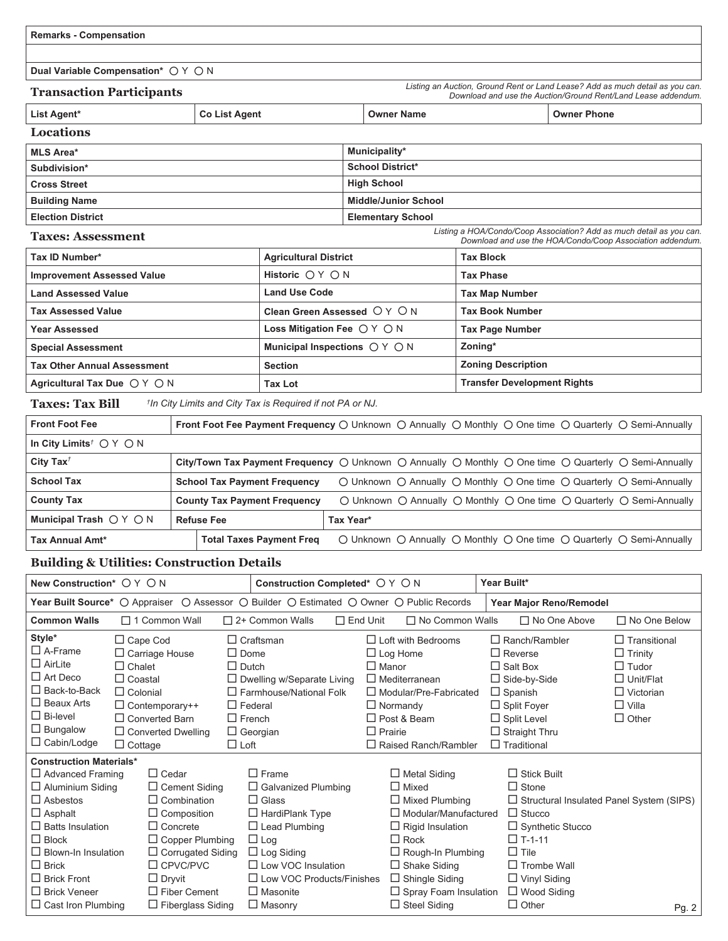|  |  | <b>Remarks - Compensation</b> |
|--|--|-------------------------------|
|--|--|-------------------------------|

**Dual Variable Compensation\***  $\bigcirc$  Y  $\bigcirc$  N

| <b>Transaction Participants</b> |               |                   | Listing an Auction, Ground Rent or Land Lease? Add as much detail as you can.<br>Download and use the Auction/Ground Rent/Land Lease addendum. |
|---------------------------------|---------------|-------------------|------------------------------------------------------------------------------------------------------------------------------------------------|
| List Agent*                     | Co List Agent | <b>Owner Name</b> | <b>Owner Phone</b>                                                                                                                             |

| Locations                |                             |
|--------------------------|-----------------------------|
| <b>MLS Area*</b>         | Municipality*               |
| Subdivision*             | <b>School District*</b>     |
| <b>Cross Street</b>      | <b>High School</b>          |
| <b>Building Name</b>     | <b>Middle/Junior School</b> |
| <b>Election District</b> | <b>Elementary School</b>    |

#### **Taxes: Assessment**

*Listing a HOA/Condo/Coop Association? Add as much detail as you can. Download and use the HOA/Condo/Coop Association addendum.*

| Tax ID Number*                                 | <b>Agricultural District</b>                    | <b>Tax Block</b>                   |
|------------------------------------------------|-------------------------------------------------|------------------------------------|
| <b>Improvement Assessed Value</b>              | Historic $\bigcirc$ Y $\bigcirc$ N              | <b>Tax Phase</b>                   |
| <b>Land Assessed Value</b>                     | <b>Land Use Code</b>                            | <b>Tax Map Number</b>              |
| <b>Tax Assessed Value</b>                      | Clean Green Assessed $OY$ $ON$                  | <b>Tax Book Number</b>             |
| Year Assessed                                  | Loss Mitigation Fee $\bigcirc$ Y $\bigcirc$ N   | <b>Tax Page Number</b>             |
| <b>Special Assessment</b>                      | Municipal Inspections $\bigcirc$ Y $\bigcirc$ N | Zoning*                            |
| <b>Tax Other Annual Assessment</b>             | <b>Section</b>                                  | <b>Zoning Description</b>          |
| Agricultural Tax Due $\bigcirc$ Y $\bigcirc$ N | <b>Tax Lot</b>                                  | <b>Transfer Development Rights</b> |

#### **Taxes: Tax Bill** *† In City Limits and City Tax is Required if not PA or NJ.*

| <b>Front Foot Fee</b>                                                              | Front Foot Fee Payment Frequency $\bigcirc$ Unknown $\bigcirc$ Annually $\bigcirc$ Monthly $\bigcirc$ One time $\bigcirc$ Quarterly $\bigcirc$ Semi-Annually |           |  |  |                                                                                                                             |
|------------------------------------------------------------------------------------|--------------------------------------------------------------------------------------------------------------------------------------------------------------|-----------|--|--|-----------------------------------------------------------------------------------------------------------------------------|
| In City Limits <sup><math>\uparrow</math></sup> $\bigcirc$ $\uparrow$ $\bigcirc$ N |                                                                                                                                                              |           |  |  |                                                                                                                             |
| City Tax <sup><math>\dagger</math></sup>                                           | City/Town Tax Payment Frequency $\bigcirc$ Unknown $\bigcirc$ Annually $\bigcirc$ Monthly $\bigcirc$ One time $\bigcirc$ Quarterly $\bigcirc$ Semi-Annually  |           |  |  |                                                                                                                             |
| <b>School Tax</b>                                                                  | <b>School Tax Payment Frequency</b>                                                                                                                          |           |  |  | $\circ$ Unknown $\circ$ Annually $\circ$ Monthly $\circ$ One time $\circ$ Quarterly $\circ$ Semi-Annually                   |
| <b>County Tax</b>                                                                  | <b>County Tax Payment Frequency</b>                                                                                                                          |           |  |  | $\bigcirc$ Unknown $\bigcirc$ Annually $\bigcirc$ Monthly $\bigcirc$ One time $\bigcirc$ Quarterly $\bigcirc$ Semi-Annually |
| Municipal Trash $\bigcirc$ Y $\bigcirc$ N                                          | <b>Refuse Fee</b>                                                                                                                                            | Tax Year* |  |  |                                                                                                                             |
| <b>Tax Annual Amt*</b>                                                             | <b>Total Taxes Payment Freq</b>                                                                                                                              |           |  |  | $\bigcirc$ Unknown $\bigcirc$ Annually $\bigcirc$ Monthly $\bigcirc$ One time $\bigcirc$ Quarterly $\bigcirc$ Semi-Annually |

#### **Building & Utilities: Construction Details**

| New Construction* ○ Y ○ N                                                                                                                                                                                                                                                                    |                                                                                                                  |                                                                                                                                                                                                                                                  |                                                                               | Construction Completed* ○ Y ○ N                                                                                                                                                                                                                       |                 |                                                                                                                                                                                                                                                                          | Year Built*                                                                                                                                                                                  |                         |                                                                                                                               |
|----------------------------------------------------------------------------------------------------------------------------------------------------------------------------------------------------------------------------------------------------------------------------------------------|------------------------------------------------------------------------------------------------------------------|--------------------------------------------------------------------------------------------------------------------------------------------------------------------------------------------------------------------------------------------------|-------------------------------------------------------------------------------|-------------------------------------------------------------------------------------------------------------------------------------------------------------------------------------------------------------------------------------------------------|-----------------|--------------------------------------------------------------------------------------------------------------------------------------------------------------------------------------------------------------------------------------------------------------------------|----------------------------------------------------------------------------------------------------------------------------------------------------------------------------------------------|-------------------------|-------------------------------------------------------------------------------------------------------------------------------|
|                                                                                                                                                                                                                                                                                              |                                                                                                                  |                                                                                                                                                                                                                                                  |                                                                               | Year Built Source* O Appraiser O Assessor O Builder O Estimated O Owner O Public Records                                                                                                                                                              |                 |                                                                                                                                                                                                                                                                          |                                                                                                                                                                                              | Year Major Reno/Remodel |                                                                                                                               |
| <b>Common Walls</b>                                                                                                                                                                                                                                                                          |                                                                                                                  | $\Box$ 1 Common Wall                                                                                                                                                                                                                             |                                                                               | $\Box$ 2+ Common Walls                                                                                                                                                                                                                                | $\Box$ End Unit | □ No Common Walls                                                                                                                                                                                                                                                        |                                                                                                                                                                                              | $\Box$ No One Above     | $\Box$ No One Below                                                                                                           |
| Style*<br>$\Box$ A-Frame<br>$\Box$ AirLite<br>$\Box$ Art Deco<br>$\Box$ Back-to-Back<br>$\Box$ Beaux Arts<br>$\Box$ Bi-level<br>$\Box$ Bungalow<br>$\Box$ Cabin/Lodge                                                                                                                        | $\Box$ Cape Cod<br>$\Box$ Chalet<br>$\Box$ Coastal<br>$\Box$ Colonial<br>$\Box$ Converted Barn<br>$\Box$ Cottage | $\Box$ Carriage House<br>$\Box$ Contemporary++<br>$\Box$ Converted Dwelling                                                                                                                                                                      | $\Box$ Dome<br>$\Box$ Dutch<br>$\Box$ Federal<br>$\Box$ French<br>$\Box$ Loft | $\Box$ Craftsman<br>$\Box$ Dwelling w/Separate Living<br>$\Box$ Farmhouse/National Folk<br>$\Box$ Georgian                                                                                                                                            |                 | $\Box$ Loft with Bedrooms<br>$\Box$ Log Home<br>$\Box$ Manor<br>$\Box$ Mediterranean<br>$\Box$ Modular/Pre-Fabricated<br>$\Box$ Normandy<br>$\Box$ Post & Beam<br>$\Box$ Prairie<br>$\Box$ Raised Ranch/Rambler                                                          | $\Box$ Ranch/Rambler<br>$\Box$ Reverse<br>$\Box$ Salt Box<br>$\Box$ Side-by-Side<br>$\Box$ Spanish<br>$\Box$ Split Foyer<br>$\Box$ Split Level<br>$\Box$ Straight Thru<br>$\Box$ Traditional |                         | $\Box$ Transitional<br>$\Box$ Trinity<br>$\Box$ Tudor<br>$\Box$ Unit/Flat<br>$\Box$ Victorian<br>$\Box$ Villa<br>$\Box$ Other |
| <b>Construction Materials*</b><br>$\Box$ Advanced Framing<br>$\Box$ Aluminium Siding<br>$\Box$ Asbestos<br>$\Box$ Asphalt<br>$\Box$ Batts Insulation<br>$\Box$ Block<br>$\Box$ Blown-In Insulation<br>$\Box$ Brick<br>$\Box$ Brick Front<br>$\Box$ Brick Veneer<br>$\Box$ Cast Iron Plumbing |                                                                                                                  | $\Box$ Cedar<br>$\Box$ Cement Siding<br>$\Box$ Combination<br>$\Box$ Composition<br>$\Box$ Concrete<br>$\Box$ Copper Plumbing<br>$\Box$ Corrugated Siding<br>$\Box$ CPVC/PVC<br>$\Box$ Dryvit<br>$\Box$ Fiber Cement<br>$\Box$ Fiberglass Siding |                                                                               | $\Box$ Frame<br>$\Box$ Galvanized Plumbing<br>$\Box$ Glass<br>$\Box$ HardiPlank Type<br>$\Box$ Lead Plumbing<br>$\Box$ Log<br>$\Box$ Log Siding<br>$\Box$ Low VOC Insulation<br>$\Box$ Low VOC Products/Finishes<br>$\Box$ Masonite<br>$\Box$ Masonry |                 | $\Box$ Metal Siding<br>$\Box$ Mixed<br>$\Box$ Mixed Plumbing<br>$\Box$ Modular/Manufactured<br>$\Box$ Rigid Insulation<br>$\Box$ Rock<br>$\Box$ Rough-In Plumbing<br>$\Box$ Shake Siding<br>$\Box$ Shingle Siding<br>$\Box$ Spray Foam Insulation<br>$\Box$ Steel Siding | $\Box$ Stick Built<br>$\Box$ Stone<br>$\Box$ Stucco<br>$\Box$ T-1-11<br>$\Box$ Tile<br>$\Box$ Trombe Wall<br>$\Box$ Vinyl Siding<br>$\Box$ Wood Siding<br>$\Box$ Other                       | $\Box$ Synthetic Stucco | $\Box$ Structural Insulated Panel System (SIPS)<br>Pg. 2                                                                      |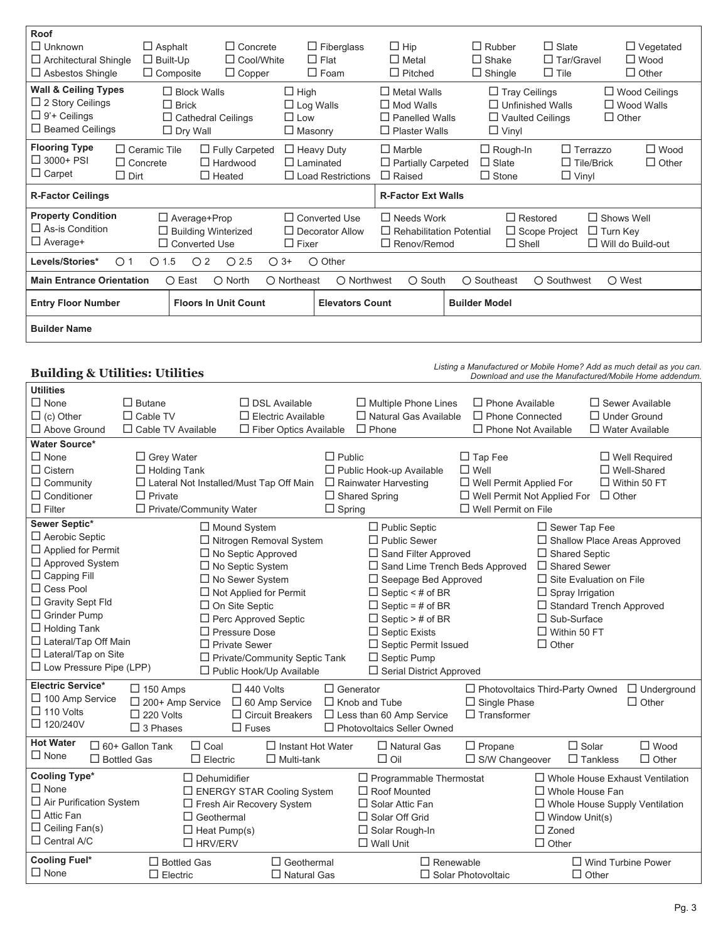| Roof                                                                               |                            |                            |                   |                                                                                                      |                                                           |  |                         |                   |                          |
|------------------------------------------------------------------------------------|----------------------------|----------------------------|-------------------|------------------------------------------------------------------------------------------------------|-----------------------------------------------------------|--|-------------------------|-------------------|--------------------------|
| $\Box$ Unknown                                                                     | $\Box$ Asphalt             | $\Box$ Concrete            |                   | $\Box$ Fiberglass                                                                                    | $\Box$ Hip                                                |  | $\Box$ Rubber           | $\Box$ Slate      | $\Box$ Vegetated         |
| $\Box$ Architectural Shingle                                                       | $\Box$ Built-Up            | $\Box$ Cool/White          |                   | $\Box$ Flat                                                                                          | $\Box$ Metal                                              |  | $\Box$ Shake            | $\Box$ Tar/Gravel | $\Box$ Wood              |
| $\Box$ Asbestos Shingle                                                            | $\Box$ Composite           | $\Box$ Copper              |                   | $\Box$ Foam                                                                                          | $\Box$ Pitched                                            |  | $\Box$ Shingle          | $\Box$ Tile       | $\Box$ Other             |
| <b>Wall &amp; Ceiling Types</b>                                                    | $\Box$ Block Walls         |                            | $\Box$ High       |                                                                                                      | $\Box$ Metal Walls                                        |  | $\Box$ Tray Ceilings    |                   | $\Box$ Wood Ceilings     |
| $\Box$ 2 Story Ceilings                                                            | $\Box$ Brick               |                            | $\Box$ Log Walls  |                                                                                                      | $\Box$ Mod Walls                                          |  | $\Box$ Unfinished Walls |                   | $\Box$ Wood Walls        |
| $\Box$ 9'+ Ceilings                                                                | $\Box$ Cathedral Ceilings  |                            | $\Box$ Low        |                                                                                                      | $\Box$ Panelled Walls                                     |  | $\Box$ Vaulted Ceilings |                   | $\Box$ Other             |
| $\Box$ Beamed Ceilings                                                             | $\Box$ Dry Wall            |                            | $\Box$ Masonry    |                                                                                                      | $\Box$ Plaster Walls                                      |  | $\Box$ Vinyl            |                   |                          |
| <b>Flooring Type</b>                                                               | $\Box$ Ceramic Tile        | $\Box$ Fully Carpeted      | $\Box$ Heavy Duty |                                                                                                      | $\Box$ Marble                                             |  | $\Box$ Rough-In         | $\Box$ Terrazzo   | $\Box$ Wood              |
| $\Box$ 3000+ PSI                                                                   | $\Box$ Concrete            | $\Box$ Hardwood            | $\Box$ I aminated |                                                                                                      | $\Box$ Partially Carpeted                                 |  | $\Box$ Slate            | $\Box$ Tile/Brick | $\Box$ Other             |
| $\Box$ Carpet<br>$\Box$ Dirt                                                       |                            | $\Box$ Heated              |                   | $\Box$ Load Restrictions                                                                             | $\Box$ Raised                                             |  | $\Box$ Stone            | $\Box$ Vinyl      |                          |
| <b>R-Factor Ceilings</b>                                                           |                            |                            |                   |                                                                                                      | <b>R-Factor Ext Walls</b>                                 |  |                         |                   |                          |
| <b>Property Condition</b>                                                          | $\Box$ Average+Prop        |                            |                   | $\Box$ Converted Use                                                                                 | $\Box$ Restored<br>$\Box$ Needs Work<br>$\Box$ Shows Well |  |                         |                   |                          |
| $\Box$ As-is Condition                                                             | $\Box$ Building Winterized |                            |                   | $\Box$ Rehabilitation Potential<br>$\Box$ Scope Project<br>$\Box$ Decorator Allow<br>$\Box$ Turn Key |                                                           |  |                         |                   |                          |
| $\Box$ Average+                                                                    | $\Box$ Converted Use       |                            | $\Box$ Fixer      |                                                                                                      | $\Box$ Renov/Remod                                        |  | $\Box$ Shell            |                   | $\Box$ Will do Build-out |
| Levels/Stories*<br>$\circ$ 1                                                       | 1.5<br>O <sub>2</sub><br>∩ | O <sub>2.5</sub><br>$O$ 3+ |                   | $\bigcirc$ Other                                                                                     |                                                           |  |                         |                   |                          |
| <b>Main Entrance Orientation</b>                                                   | $\bigcirc$ East            | $\bigcirc$ North           | ○ Northeast       | ○ Northwest                                                                                          | $\bigcirc$ South                                          |  | ○ Southeast             | ○ Southwest       | $\bigcirc$ West          |
| <b>Entry Floor Number</b><br><b>Floors In Unit Count</b><br><b>Elevators Count</b> |                            |                            |                   |                                                                                                      | <b>Builder Model</b>                                      |  |                         |                   |                          |
| <b>Builder Name</b>                                                                |                            |                            |                   |                                                                                                      |                                                           |  |                         |                   |                          |

# **Building & Utilities: Utilities**

*Listing a Manufactured or Mobile Home? Add as much detail as you can. Download and use the Manufactured/Mobile Home addendum.*

| <b>Utilities</b>               |                           |                                |                                           |                  |                                  |                                        |                                 |                     |                                        |
|--------------------------------|---------------------------|--------------------------------|-------------------------------------------|------------------|----------------------------------|----------------------------------------|---------------------------------|---------------------|----------------------------------------|
| $\Box$ None                    | $\square$ Butane          |                                | $\Box$ DSL Available                      |                  | $\Box$ Multiple Phone Lines      | $\Box$ Phone Available                 |                                 |                     | $\Box$ Sewer Available                 |
| $\Box$ (c) Other               | $\Box$ Cable TV           |                                | $\Box$ Electric Available                 |                  | $\Box$ Natural Gas Available     | $\Box$ Phone Connected                 |                                 | $\Box$ Under Ground |                                        |
| $\Box$ Above Ground            | $\Box$ Cable TV Available |                                | $\Box$ Fiber Optics Available             |                  | $\Box$ Phone                     | $\Box$ Phone Not Available             |                                 |                     | $\Box$ Water Available                 |
| <b>Water Source*</b>           |                           |                                |                                           |                  |                                  |                                        |                                 |                     |                                        |
| $\Box$ None                    | $\Box$ Grey Water         |                                |                                           | $\Box$ Public    |                                  | $\Box$ Tap Fee                         |                                 |                     | $\Box$ Well Required                   |
| $\Box$ Cistern                 | $\Box$ Holding Tank       |                                |                                           |                  | $\Box$ Public Hook-up Available  | $\square$ Well                         |                                 |                     | $\Box$ Well-Shared                     |
| $\Box$ Community               |                           |                                | □ Lateral Not Installed/Must Tap Off Main |                  | $\Box$ Rainwater Harvesting      | □ Well Permit Applied For              |                                 |                     | $\Box$ Within 50 FT                    |
| $\Box$ Conditioner             | $\Box$ Private            |                                |                                           |                  | $\Box$ Shared Spring             | □ Well Permit Not Applied For          |                                 | $\Box$ Other        |                                        |
| $\Box$ Filter                  |                           | $\Box$ Private/Community Water |                                           | $\Box$ Spring    |                                  | $\Box$ Well Permit on File             |                                 |                     |                                        |
| Sewer Septic*                  |                           |                                | $\Box$ Mound System                       |                  | $\Box$ Public Septic             |                                        | $\Box$ Sewer Tap Fee            |                     |                                        |
| $\Box$ Aerobic Septic          |                           |                                | □ Nitrogen Removal System                 |                  | $\Box$ Public Sewer              |                                        |                                 |                     | □ Shallow Place Areas Approved         |
| $\Box$ Applied for Permit      |                           |                                | $\Box$ No Septic Approved                 |                  | □ Sand Filter Approved           |                                        | $\Box$ Shared Septic            |                     |                                        |
| □ Approved System              |                           |                                | □ No Septic System                        |                  | □ Sand Lime Trench Beds Approved |                                        | $\Box$ Shared Sewer             |                     |                                        |
| $\Box$ Capping Fill            |                           |                                | □ No Sewer System                         |                  | □ Seepage Bed Approved           |                                        | $\Box$ Site Evaluation on File  |                     |                                        |
| $\Box$ Cess Pool               |                           |                                | $\Box$ Not Applied for Permit             |                  | $\Box$ Septic < # of BR          |                                        | $\Box$ Spray Irrigation         |                     |                                        |
| $\Box$ Gravity Sept Fld        |                           |                                | $\Box$ On Site Septic                     |                  | $\Box$ Septic = # of BR          |                                        | $\Box$ Standard Trench Approved |                     |                                        |
| $\Box$ Grinder Pump            |                           |                                | □ Perc Approved Septic                    |                  | $\Box$ Septic > # of BR          |                                        | $\Box$ Sub-Surface              |                     |                                        |
| $\Box$ Holding Tank            |                           |                                | $\Box$ Pressure Dose                      |                  | $\Box$ Septic Exists             |                                        | $\Box$ Within 50 FT             |                     |                                        |
| $\Box$ Lateral/Tap Off Main    |                           |                                | $\Box$ Private Sewer                      |                  | $\Box$ Septic Permit Issued      |                                        | $\Box$ Other                    |                     |                                        |
| $\Box$ Lateral/Tap on Site     |                           |                                | □ Private/Community Septic Tank           |                  | $\Box$ Septic Pump               |                                        |                                 |                     |                                        |
| $\Box$ Low Pressure Pipe (LPP) |                           |                                | $\Box$ Public Hook/Up Available           |                  | □ Serial District Approved       |                                        |                                 |                     |                                        |
| <b>Electric Service*</b>       | $\Box$ 150 Amps           |                                | $\Box$ 440 Volts                          | $\Box$ Generator |                                  | $\Box$ Photovoltaics Third-Party Owned |                                 |                     | $\Box$ Underground                     |
| $\Box$ 100 Amp Service         | □ 200+ Amp Service        |                                | $\Box$ 60 Amp Service                     |                  | $\Box$ Knob and Tube             | $\Box$ Single Phase                    |                                 |                     | $\Box$ Other                           |
| $\Box$ 110 Volts               | $\Box$ 220 Volts          |                                | $\Box$ Circuit Breakers                   |                  | $\Box$ Less than 60 Amp Service  | $\Box$ Transformer                     |                                 |                     |                                        |
| $\Box$ 120/240V                | $\Box$ 3 Phases           |                                | $\Box$ Fuses                              |                  | □ Photovoltaics Seller Owned     |                                        |                                 |                     |                                        |
| <b>Hot Water</b>               |                           |                                |                                           |                  |                                  |                                        |                                 |                     |                                        |
| $\Box$ None                    | $\Box$ 60+ Gallon Tank    | $\Box$ Coal                    | $\Box$ Instant Hot Water                  |                  | $\Box$ Natural Gas               | $\Box$ Propane                         | $\Box$ Solar                    |                     | $\Box$ Wood                            |
|                                | $\Box$ Bottled Gas        | $\Box$ Electric                | $\Box$ Multi-tank                         |                  | $\Box$ Oil                       | $\Box$ S/W Changeover                  |                                 | $\Box$ Tankless     | $\Box$ Other                           |
| <b>Cooling Type*</b>           |                           | $\Box$ Dehumidifier            |                                           |                  | $\Box$ Programmable Thermostat   |                                        |                                 |                     | $\Box$ Whole House Exhaust Ventilation |
| $\Box$ None                    |                           |                                | $\Box$ ENERGY STAR Cooling System         |                  | $\Box$ Roof Mounted              |                                        | $\Box$ Whole House Fan          |                     |                                        |
| $\Box$ Air Purification System |                           |                                | $\Box$ Fresh Air Recovery System          |                  | $\Box$ Solar Attic Fan           |                                        |                                 |                     | $\Box$ Whole House Supply Ventilation  |
| $\Box$ Attic Fan               |                           | $\Box$ Geothermal              |                                           |                  | $\Box$ Solar Off Grid            |                                        | $\Box$ Window Unit(s)           |                     |                                        |
| $\Box$ Ceiling Fan(s)          |                           | $\Box$ Heat Pump(s)            |                                           |                  | □ Solar Rough-In                 |                                        | $\square$ Zoned                 |                     |                                        |
| $\Box$ Central A/C             |                           | $\Box$ HRV/ERV                 |                                           |                  | $\Box$ Wall Unit                 |                                        | $\Box$ Other                    |                     |                                        |
| <b>Cooling Fuel*</b>           | $\Box$ Bottled Gas        |                                | $\Box$ Geothermal                         |                  | $\Box$ Renewable                 |                                        |                                 |                     | $\Box$ Wind Turbine Power              |
| $\Box$ None                    | $\Box$ Electric           |                                | $\Box$ Natural Gas                        |                  |                                  | $\Box$ Solar Photovoltaic              |                                 | $\Box$ Other        |                                        |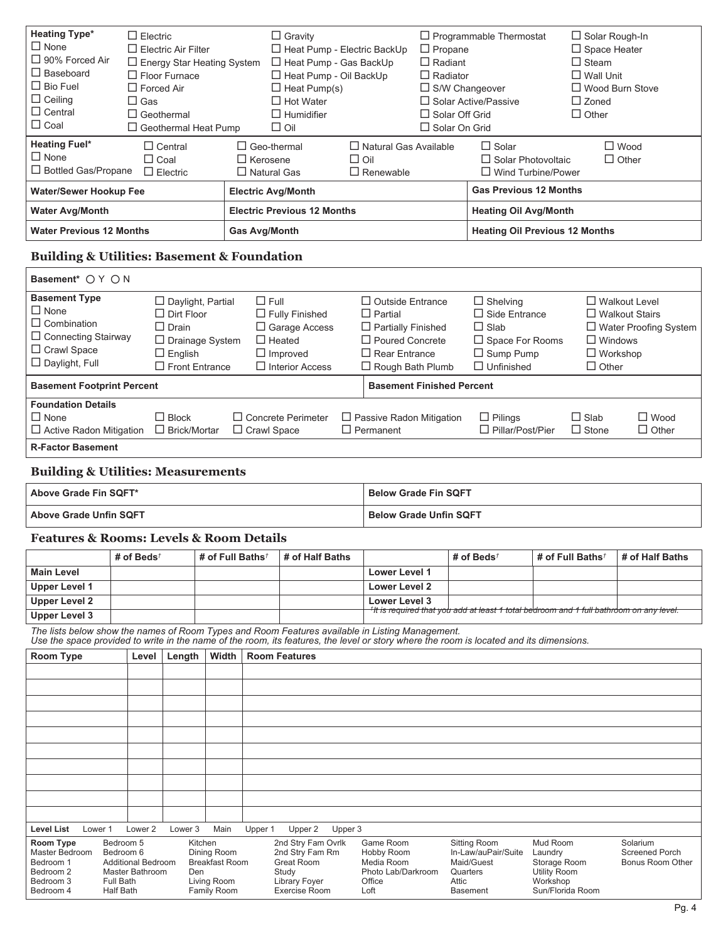| <b>Heating Type*</b><br>$\Box$ None<br>□ 90% Forced Air<br>$\Box$ Baseboard<br>$\Box$ Bio Fuel<br>$\Box$ Ceiling<br>$\Box$ Central<br>$\Box$ Coal                                                                                          | $\Box$ Electric<br>$\square$ Electric Air Filter<br>$\Box$ Floor Furnace<br>$\Box$ Forced Air<br>$\square$ Gas<br>$\Box$ Geothermal |                                                     | $\Box$ Energy Star Heating System<br>$\Box$ Geothermal Heat Pump            |                                                             | $\Box$ Gravity<br>$\Box$ Heat Pump - Gas BackUp<br>$\Box$ Heat Pump - Oil BackUp<br>$\Box$ Heat Pump(s)<br>$\Box$ Hot Water<br>$\Box$ Humidifier<br>$\Box$ Oil | □ Heat Pump - Electric BackUp                                                                                                                       | $\Box$ Programmable Thermostat<br>$\Box$ Propane<br>$\Box$ Radiant<br>$\Box$ Radiator<br>$\Box$ S/W Changeover<br>$\Box$ Solar Active/Passive<br>$\Box$ Solar Off Grid<br>$\Box$ Solar On Grid |                                                                                                                           | $\Box$ Space Heater<br>$\Box$ Steam<br>$\Box$ Wall Unit<br>$\Box$ Zoned<br>$\Box$ Other | $\Box$ Solar Rough-In<br>$\Box$ Wood Burn Stove                                                                  |
|--------------------------------------------------------------------------------------------------------------------------------------------------------------------------------------------------------------------------------------------|-------------------------------------------------------------------------------------------------------------------------------------|-----------------------------------------------------|-----------------------------------------------------------------------------|-------------------------------------------------------------|----------------------------------------------------------------------------------------------------------------------------------------------------------------|-----------------------------------------------------------------------------------------------------------------------------------------------------|------------------------------------------------------------------------------------------------------------------------------------------------------------------------------------------------|---------------------------------------------------------------------------------------------------------------------------|-----------------------------------------------------------------------------------------|------------------------------------------------------------------------------------------------------------------|
| <b>Heating Fuel*</b><br>$\Box$ None<br>□ Bottled Gas/Propane                                                                                                                                                                               | $\Box$ Coal                                                                                                                         | $\Box$ Central<br>$\Box$ Electric                   |                                                                             | $\Box$ Geo-thermal<br>$\Box$ Kerosene<br>$\Box$ Natural Gas |                                                                                                                                                                | $\Box$ Natural Gas Available<br>$\Box$ Oil<br>$\Box$ Renewable                                                                                      |                                                                                                                                                                                                | $\Box$ Solar<br>$\Box$ Solar Photovoltaic                                                                                 | $\Box$ Wind Turbine/Power                                                               | $\square$ Wood<br>$\Box$ Other                                                                                   |
| <b>Water/Sewer Hookup Fee</b>                                                                                                                                                                                                              |                                                                                                                                     |                                                     |                                                                             | <b>Electric Avg/Month</b>                                   |                                                                                                                                                                |                                                                                                                                                     |                                                                                                                                                                                                | <b>Gas Previous 12 Months</b>                                                                                             |                                                                                         |                                                                                                                  |
| <b>Water Avg/Month</b>                                                                                                                                                                                                                     |                                                                                                                                     |                                                     |                                                                             |                                                             | <b>Electric Previous 12 Months</b>                                                                                                                             |                                                                                                                                                     |                                                                                                                                                                                                | <b>Heating Oil Avg/Month</b>                                                                                              |                                                                                         |                                                                                                                  |
| <b>Water Previous 12 Months</b>                                                                                                                                                                                                            |                                                                                                                                     |                                                     |                                                                             | <b>Gas Avg/Month</b>                                        |                                                                                                                                                                |                                                                                                                                                     |                                                                                                                                                                                                |                                                                                                                           | <b>Heating Oil Previous 12 Months</b>                                                   |                                                                                                                  |
| <b>Building &amp; Utilities: Basement &amp; Foundation</b>                                                                                                                                                                                 |                                                                                                                                     |                                                     |                                                                             |                                                             |                                                                                                                                                                |                                                                                                                                                     |                                                                                                                                                                                                |                                                                                                                           |                                                                                         |                                                                                                                  |
| Basement* O Y O N                                                                                                                                                                                                                          |                                                                                                                                     |                                                     |                                                                             |                                                             |                                                                                                                                                                |                                                                                                                                                     |                                                                                                                                                                                                |                                                                                                                           |                                                                                         |                                                                                                                  |
| <b>Basement Type</b><br>$\Box$ None<br>$\Box$ Combination<br>$\Box$ Connecting Stairway<br>$\Box$ Crawl Space<br>$\Box$ Daylight, Full                                                                                                     |                                                                                                                                     | $\Box$ Dirt Floor<br>$\Box$ Drain<br>$\Box$ English | $\Box$ Daylight, Partial<br>$\Box$ Drainage System<br>$\Box$ Front Entrance | $\Box$ Full                                                 | $\Box$ Fully Finished<br>$\Box$ Garage Access<br>$\Box$ Heated<br>$\Box$ Improved<br>$\Box$ Interior Access                                                    | $\Box$ Outside Entrance<br>$\Box$ Partial<br>$\Box$ Partially Finished<br>$\Box$ Poured Concrete<br>$\Box$ Rear Entrance<br>$\Box$ Rough Bath Plumb |                                                                                                                                                                                                | $\Box$ Shelving<br>$\Box$ Side Entrance<br>$\Box$ Slab<br>$\Box$ Space For Rooms<br>$\Box$ Sump Pump<br>$\Box$ Unfinished | $\Box$ Other                                                                            | $\Box$ Walkout Level<br>$\Box$ Walkout Stairs<br>□ Water Proofing System<br>$\Box$ Windows<br>$\square$ Workshop |
| <b>Basement Footprint Percent</b>                                                                                                                                                                                                          |                                                                                                                                     |                                                     |                                                                             |                                                             |                                                                                                                                                                |                                                                                                                                                     | <b>Basement Finished Percent</b>                                                                                                                                                               |                                                                                                                           |                                                                                         |                                                                                                                  |
| <b>Foundation Details</b><br>$\Box$ None<br>$\Box$ Active Radon Mitigation<br><b>R-Factor Basement</b>                                                                                                                                     |                                                                                                                                     | $\Box$ Block<br>□ Brick/Mortar                      |                                                                             | $\Box$ Crawl Space                                          | $\Box$ Concrete Perimeter                                                                                                                                      | $\Box$ Passive Radon Mitigation<br>$\Box$ Permanent                                                                                                 |                                                                                                                                                                                                | $\Box$ Pilings<br>$\Box$ Pillar/Post/Pier                                                                                 | $\Box$ Slab<br>$\Box$ Stone                                                             | $\square$ Wood<br>$\Box$ Other                                                                                   |
| <b>Building &amp; Utilities: Measurements</b>                                                                                                                                                                                              |                                                                                                                                     |                                                     |                                                                             |                                                             |                                                                                                                                                                |                                                                                                                                                     |                                                                                                                                                                                                |                                                                                                                           |                                                                                         |                                                                                                                  |
| Above Grade Fin SQFT*                                                                                                                                                                                                                      |                                                                                                                                     |                                                     |                                                                             |                                                             |                                                                                                                                                                |                                                                                                                                                     | <b>Below Grade Fin SQFT</b>                                                                                                                                                                    |                                                                                                                           |                                                                                         |                                                                                                                  |
| <b>Above Grade Unfin SQFT</b>                                                                                                                                                                                                              |                                                                                                                                     |                                                     |                                                                             |                                                             |                                                                                                                                                                |                                                                                                                                                     | <b>Below Grade Unfin SQFT</b>                                                                                                                                                                  |                                                                                                                           |                                                                                         |                                                                                                                  |
| <b>Features &amp; Rooms: Levels &amp; Room Details</b>                                                                                                                                                                                     |                                                                                                                                     |                                                     |                                                                             |                                                             |                                                                                                                                                                |                                                                                                                                                     |                                                                                                                                                                                                |                                                                                                                           |                                                                                         |                                                                                                                  |
|                                                                                                                                                                                                                                            | # of Beds <sup><math>†</math></sup>                                                                                                 |                                                     | # of Full Baths <sup>†</sup>                                                |                                                             | # of Half Baths                                                                                                                                                |                                                                                                                                                     |                                                                                                                                                                                                | # of Beds $t$                                                                                                             | # of Full Baths <sup>†</sup>                                                            | # of Half Baths                                                                                                  |
| <b>Main Level</b><br><b>Upper Level 1</b>                                                                                                                                                                                                  |                                                                                                                                     |                                                     |                                                                             |                                                             |                                                                                                                                                                | Lower Level 1                                                                                                                                       |                                                                                                                                                                                                |                                                                                                                           |                                                                                         |                                                                                                                  |
| <b>Upper Level 2</b>                                                                                                                                                                                                                       |                                                                                                                                     |                                                     |                                                                             |                                                             |                                                                                                                                                                | <b>Lower Level 2</b><br><b>Lower Level 3</b>                                                                                                        |                                                                                                                                                                                                |                                                                                                                           |                                                                                         |                                                                                                                  |
| <b>Upper Level 3</b>                                                                                                                                                                                                                       |                                                                                                                                     |                                                     |                                                                             |                                                             |                                                                                                                                                                |                                                                                                                                                     |                                                                                                                                                                                                |                                                                                                                           | †It is required that you add at least 1 total bedroom and 1 full bathroom on any level. |                                                                                                                  |
| The lists below show the names of Room Types and Room Features available in Listing Management.<br>Use the space provided to write in the name of the room, its features, the level or story where the room is located and its dimensions. |                                                                                                                                     |                                                     |                                                                             |                                                             |                                                                                                                                                                |                                                                                                                                                     |                                                                                                                                                                                                |                                                                                                                           |                                                                                         |                                                                                                                  |
| <b>Room Type</b>                                                                                                                                                                                                                           | Level                                                                                                                               | Length                                              | Width                                                                       |                                                             | <b>Room Features</b>                                                                                                                                           |                                                                                                                                                     |                                                                                                                                                                                                |                                                                                                                           |                                                                                         |                                                                                                                  |
|                                                                                                                                                                                                                                            |                                                                                                                                     |                                                     |                                                                             |                                                             |                                                                                                                                                                |                                                                                                                                                     |                                                                                                                                                                                                |                                                                                                                           |                                                                                         |                                                                                                                  |
|                                                                                                                                                                                                                                            |                                                                                                                                     |                                                     |                                                                             |                                                             |                                                                                                                                                                |                                                                                                                                                     |                                                                                                                                                                                                |                                                                                                                           |                                                                                         |                                                                                                                  |
|                                                                                                                                                                                                                                            |                                                                                                                                     |                                                     |                                                                             |                                                             |                                                                                                                                                                |                                                                                                                                                     |                                                                                                                                                                                                |                                                                                                                           |                                                                                         |                                                                                                                  |
|                                                                                                                                                                                                                                            |                                                                                                                                     |                                                     |                                                                             |                                                             |                                                                                                                                                                |                                                                                                                                                     |                                                                                                                                                                                                |                                                                                                                           |                                                                                         |                                                                                                                  |
|                                                                                                                                                                                                                                            |                                                                                                                                     |                                                     |                                                                             |                                                             |                                                                                                                                                                |                                                                                                                                                     |                                                                                                                                                                                                |                                                                                                                           |                                                                                         |                                                                                                                  |
|                                                                                                                                                                                                                                            |                                                                                                                                     |                                                     |                                                                             |                                                             |                                                                                                                                                                |                                                                                                                                                     |                                                                                                                                                                                                |                                                                                                                           |                                                                                         |                                                                                                                  |
|                                                                                                                                                                                                                                            |                                                                                                                                     |                                                     |                                                                             |                                                             |                                                                                                                                                                |                                                                                                                                                     |                                                                                                                                                                                                |                                                                                                                           |                                                                                         |                                                                                                                  |
|                                                                                                                                                                                                                                            |                                                                                                                                     |                                                     |                                                                             |                                                             |                                                                                                                                                                |                                                                                                                                                     |                                                                                                                                                                                                |                                                                                                                           |                                                                                         |                                                                                                                  |
|                                                                                                                                                                                                                                            |                                                                                                                                     |                                                     |                                                                             |                                                             |                                                                                                                                                                |                                                                                                                                                     |                                                                                                                                                                                                |                                                                                                                           |                                                                                         |                                                                                                                  |
|                                                                                                                                                                                                                                            |                                                                                                                                     |                                                     |                                                                             |                                                             |                                                                                                                                                                |                                                                                                                                                     |                                                                                                                                                                                                |                                                                                                                           |                                                                                         |                                                                                                                  |
| <b>Level List</b><br>Lower 1                                                                                                                                                                                                               | Lower 2                                                                                                                             | Lower <sub>3</sub>                                  | Main                                                                        | Upper 1                                                     | Upper 2                                                                                                                                                        | Upper 3                                                                                                                                             |                                                                                                                                                                                                |                                                                                                                           |                                                                                         |                                                                                                                  |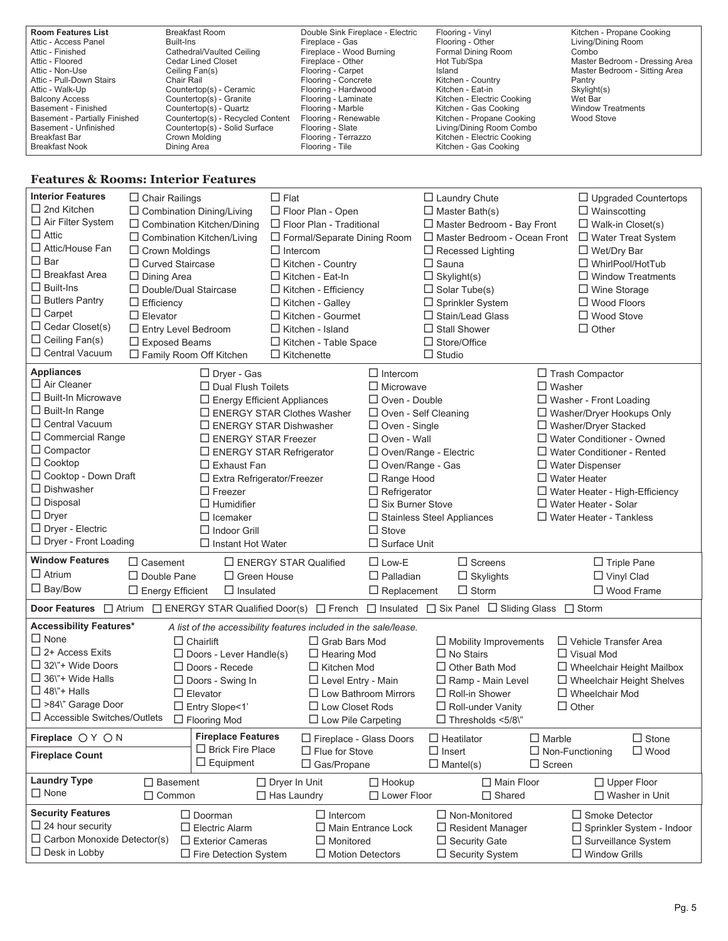| <b>Room Features List</b>     | Breakfast Room                   | Double Sink Fireplace - Electric | Flooring - Vinyl           | Kitchen - Propane Cooking      |
|-------------------------------|----------------------------------|----------------------------------|----------------------------|--------------------------------|
| Attic - Access Panel          | Built-Ins                        | Fireplace - Gas                  | Flooring - Other           | Living/Dining Room             |
| Attic - Finished              | Cathedral/Vaulted Ceiling        | Fireplace - Wood Burning         | Formal Dining Room         | Combo                          |
| Attic - Floored               | Cedar Lined Closet               | Fireplace - Other                | Hot Tub/Spa                | Master Bedroom - Dressing Area |
| Attic - Non-Use               | Ceiling Fan(s)                   | Flooring - Carpet                | Island                     | Master Bedroom - Sitting Area  |
| Attic - Pull-Down Stairs      | Chair Rail                       | Flooring - Concrete              | Kitchen - Country          | Pantry                         |
| Attic - Walk-Up               | Countertop(s) - Ceramic          | Flooring - Hardwood              | Kitchen - Eat-in           | Skylight(s)                    |
| <b>Balcony Access</b>         | Countertop(s) - Granite          | Flooring - Laminate              | Kitchen - Electric Cooking | Wet Bar                        |
| Basement - Finished           | Countertop(s) - Quartz           | Flooring - Marble                | Kitchen - Gas Cooking      | <b>Window Treatments</b>       |
| Basement - Partially Finished | Countertop(s) - Recycled Content | Flooring - Renewable             | Kitchen - Propane Cooking  | Wood Stove                     |
| Basement - Unfinished         | Countertop(s) - Solid Surface    | Flooring - Slate                 | Living/Dining Room Combo   |                                |
| Breakfast Bar                 | Crown Molding                    | Flooring - Terrazzo              | Kitchen - Electric Cooking |                                |
| <b>Breakfast Nook</b>         | Dining Area                      | Flooring - Tile                  | Kitchen - Gas Cooking      |                                |

#### **Features & Rooms: Interior Features**

r.

| <b>Interior Features</b>                                  | $\Box$ Chair Railings   |                                    | $\Box$ Flat                                                      |                           | $\Box$ Laundry Chute                                                                                            | $\Box$ Upgraded Countertops                          |
|-----------------------------------------------------------|-------------------------|------------------------------------|------------------------------------------------------------------|---------------------------|-----------------------------------------------------------------------------------------------------------------|------------------------------------------------------|
| $\Box$ 2nd Kitchen                                        |                         | $\Box$ Combination Dining/Living   | $\Box$ Floor Plan - Open                                         |                           | $\Box$ Master Bath(s)                                                                                           | $\Box$ Wainscotting                                  |
| $\Box$ Air Filter System                                  |                         | $\Box$ Combination Kitchen/Dining  | $\Box$ Floor Plan - Traditional                                  |                           | □ Master Bedroom - Bay Front                                                                                    | $\Box$ Walk-in Closet(s)                             |
| $\Box$ Attic                                              |                         | $\Box$ Combination Kitchen/Living  | □ Formal/Separate Dining Room                                    |                           | $\Box$ Master Bedroom - Ocean Front                                                                             | □ Water Treat System                                 |
| □ Attic/House Fan                                         | $\Box$ Crown Moldings   |                                    | $\Box$ Intercom                                                  |                           | $\Box$ Recessed Lighting                                                                                        | $\Box$ Wet/Dry Bar                                   |
| $\Box$ Bar                                                | $\Box$ Curved Staircase |                                    | □ Kitchen - Country                                              |                           | $\Box$ Sauna                                                                                                    | □ WhirlPool/HotTub                                   |
| □ Breakfast Area                                          | $\Box$ Dining Area      |                                    | $\Box$ Kitchen - Eat-In                                          |                           | $\Box$ Skylight(s)                                                                                              | $\Box$ Window Treatments                             |
| $\Box$ Built-Ins                                          |                         | □ Double/Dual Staircase            | $\Box$ Kitchen - Efficiency                                      |                           | $\Box$ Solar Tube(s)                                                                                            | $\Box$ Wine Storage                                  |
| $\Box$ Butlers Pantry                                     | $\Box$ Efficiency       |                                    | $\Box$ Kitchen - Galley                                          |                           | $\Box$ Sprinkler System                                                                                         | $\Box$ Wood Floors                                   |
| $\Box$ Carpet                                             | $\Box$ Elevator         |                                    | $\Box$ Kitchen - Gourmet                                         |                           | $\Box$ Stain/Lead Glass                                                                                         | $\Box$ Wood Stove                                    |
| $\Box$ Cedar Closet(s)                                    |                         | $\square$ Entry Level Bedroom      | $\Box$ Kitchen - Island                                          |                           | $\Box$ Stall Shower                                                                                             | $\Box$ Other                                         |
| $\Box$ Ceiling Fan(s)                                     | $\square$ Exposed Beams |                                    | □ Kitchen - Table Space                                          |                           | $\Box$ Store/Office                                                                                             |                                                      |
| □ Central Vacuum                                          |                         | □ Family Room Off Kitchen          | $\Box$ Kitchenette                                               |                           | $\Box$ Studio                                                                                                   |                                                      |
|                                                           |                         |                                    |                                                                  |                           |                                                                                                                 |                                                      |
| <b>Appliances</b>                                         |                         | □ Dryer - Gas                      |                                                                  | $\Box$ Intercom           |                                                                                                                 | $\Box$ Trash Compactor                               |
| $\Box$ Air Cleaner                                        |                         | $\square$ Dual Flush Toilets       |                                                                  | $\Box$ Microwave          |                                                                                                                 | $\Box$ Washer                                        |
| □ Built-In Microwave                                      |                         | $\Box$ Energy Efficient Appliances |                                                                  | $\Box$ Oven - Double      |                                                                                                                 | $\Box$ Washer - Front Loading                        |
| □ Built-In Range                                          |                         |                                    | $\Box$ ENERGY STAR Clothes Washer                                | □ Oven - Self Cleaning    |                                                                                                                 | □ Washer/Dryer Hookups Only                          |
| $\Box$ Central Vacuum                                     |                         |                                    | $\Box$ ENERGY STAR Dishwasher                                    | $\Box$ Oven - Single      |                                                                                                                 | □ Washer/Dryer Stacked                               |
| $\Box$ Commercial Range                                   |                         | $\Box$ ENERGY STAR Freezer         |                                                                  | $\Box$ Oven - Wall        |                                                                                                                 | $\Box$ Water Conditioner - Owned                     |
| $\Box$ Compactor                                          |                         |                                    | $\Box$ ENERGY STAR Refrigerator                                  | □ Oven/Range - Electric   |                                                                                                                 | $\Box$ Water Conditioner - Rented                    |
| $\Box$ Cooktop                                            |                         | $\Box$ Exhaust Fan                 |                                                                  | □ Oven/Range - Gas        |                                                                                                                 | $\Box$ Water Dispenser                               |
| □ Cooktop - Down Draft                                    |                         | $\Box$ Extra Refrigerator/Freezer  |                                                                  | $\Box$ Range Hood         |                                                                                                                 | $\Box$ Water Heater                                  |
| $\Box$ Dishwasher                                         |                         | $\Box$ Freezer                     |                                                                  | $\Box$ Refrigerator       |                                                                                                                 | $\Box$ Water Heater - High-Efficiency                |
| $\square$ Disposal                                        |                         | $\Box$ Humidifier                  |                                                                  | $\Box$ Six Burner Stove   |                                                                                                                 | $\Box$ Water Heater - Solar                          |
| $\Box$ Dryer                                              |                         | $\Box$ Icemaker                    |                                                                  |                           | $\Box$ Stainless Steel Appliances                                                                               | $\Box$ Water Heater - Tankless                       |
|                                                           |                         |                                    |                                                                  |                           |                                                                                                                 |                                                      |
| $\Box$ Dryer - Electric                                   |                         | $\Box$ Indoor Grill                |                                                                  | $\Box$ Stove              |                                                                                                                 |                                                      |
| $\Box$ Dryer - Front Loading                              |                         | $\Box$ Instant Hot Water           |                                                                  | $\Box$ Surface Unit       |                                                                                                                 |                                                      |
|                                                           |                         |                                    |                                                                  |                           |                                                                                                                 |                                                      |
| <b>Window Features</b>                                    | $\Box$ Casement         |                                    | $\Box$ ENERGY STAR Qualified                                     | $\Box$ Low-E              | $\Box$ Screens                                                                                                  | $\Box$ Triple Pane                                   |
| $\Box$ Atrium                                             | $\Box$ Double Pane      | $\Box$ Green House                 |                                                                  | $\Box$ Palladian          | $\Box$ Skylights                                                                                                | $\Box$ Vinyl Clad                                    |
| $\Box$ Bay/Bow                                            | $\Box$ Energy Efficient | $\Box$ Insulated                   |                                                                  | $\Box$ Replacement        | $\Box$ Storm                                                                                                    | □ Wood Frame                                         |
|                                                           |                         |                                    |                                                                  |                           | Door Features □ Atrium □ ENERGY STAR Qualified Door(s) □ French □ Insulated □ Six Panel □ Sliding Glass □ Storm |                                                      |
| <b>Accessibility Features*</b>                            |                         |                                    |                                                                  |                           |                                                                                                                 |                                                      |
| $\Box$ None                                               |                         |                                    | A list of the accessibility features included in the sale/lease. |                           |                                                                                                                 |                                                      |
| $\Box$ 2+ Access Exits                                    |                         | $\Box$ Chairlift                   | $\Box$ Grab Bars Mod                                             |                           | $\Box$ Mobility Improvements                                                                                    | $\Box$ Vehicle Transfer Area                         |
| □ 32\"+ Wide Doors                                        |                         | $\Box$ Doors - Lever Handle(s)     | $\Box$ Hearing Mod                                               |                           | $\Box$ No Stairs<br>$\Box$ Other Bath Mod                                                                       | $\Box$ Visual Mod                                    |
| $\Box$ 36\"+ Wide Halls                                   |                         | □ Doors - Recede                   | $\Box$ Kitchen Mod                                               |                           |                                                                                                                 | $\Box$ Wheelchair Height Mailbox                     |
| $\Box$ 48\"+ Halls                                        |                         | $\Box$ Doors - Swing In            | □ Level Entry - Main                                             |                           | $\Box$ Ramp - Main Level                                                                                        | $\Box$ Wheelchair Height Shelves                     |
|                                                           |                         | $\Box$ Elevator                    | $\Box$ Low Bathroom Mirrors                                      |                           | $\Box$ Roll-in Shower                                                                                           | $\Box$ Wheelchair Mod                                |
| □ >84\" Garage Door<br>$\Box$ Accessible Switches/Outlets |                         | □ Entry Slope<1'                   | $\Box$ Low Closet Rods                                           |                           | $\Box$ Roll-under Vanity                                                                                        | $\Box$ Other                                         |
|                                                           |                         | $\Box$ Flooring Mod                | $\Box$ Low Pile Carpeting                                        |                           | $\Box$ Thresholds <5/8\"                                                                                        |                                                      |
| Fireplace ○ Y ○ N                                         |                         | <b>Fireplace Features</b>          | □ Fireplace - Glass Doors                                        |                           | $\Box$ Heatilator                                                                                               | $\Box$ Stone<br>$\Box$ Marble                        |
| <b>Fireplace Count</b>                                    |                         | $\Box$ Brick Fire Place            | $\Box$ Flue for Stove                                            |                           | $\Box$ Insert                                                                                                   | $\square$ Wood<br>$\Box$ Non-Functioning             |
|                                                           |                         | $\Box$ Equipment                   | $\Box$ Gas/Propane                                               |                           | $\Box$ Mantel(s)                                                                                                | $\Box$ Screen                                        |
| <b>Laundry Type</b>                                       | $\Box$ Basement         |                                    | □ Dryer In Unit                                                  | $\Box$ Hookup             | $\Box$ Main Floor                                                                                               | □ Upper Floor                                        |
| $\Box$ None                                               | $\Box$ Common           |                                    | $\Box$ Has Laundry                                               | $\Box$ Lower Floor        | $\Box$ Shared                                                                                                   | $\Box$ Washer in Unit                                |
| <b>Security Features</b>                                  |                         | $\Box$ Doorman                     | $\Box$ Intercom                                                  |                           | $\Box$ Non-Monitored                                                                                            | $\Box$ Smoke Detector                                |
| $\Box$ 24 hour security                                   |                         | $\Box$ Electric Alarm              |                                                                  | $\Box$ Main Entrance Lock |                                                                                                                 |                                                      |
| $\Box$ Carbon Monoxide Detector(s)                        |                         | $\Box$ Exterior Cameras            | $\Box$ Monitored                                                 |                           | $\Box$ Resident Manager<br>$\Box$ Security Gate                                                                 | □ Sprinkler System - Indoor<br>□ Surveillance System |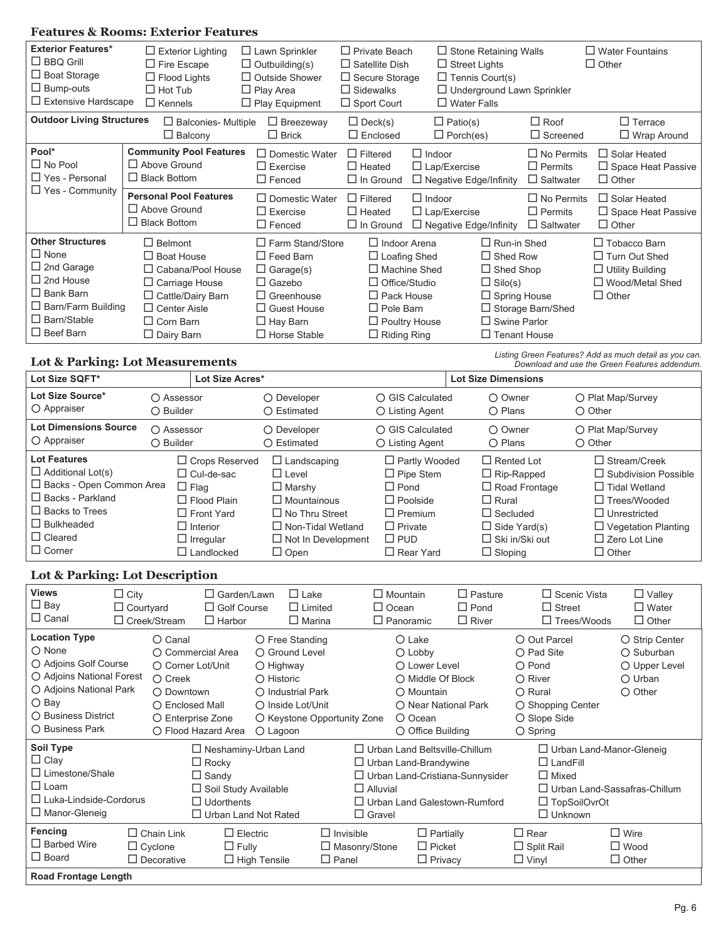### **Features & Rooms: Exterior Features**

| <b>Exterior Features*</b>        | $\Box$ Exterior Lighting                    | $\Box$ Lawn Sprinkler   | $\Box$ Private Beach  |                               | $\Box$ Stone Retaining Walls |                                   | $\Box$ Water Fountains    |
|----------------------------------|---------------------------------------------|-------------------------|-----------------------|-------------------------------|------------------------------|-----------------------------------|---------------------------|
| $\Box$ BBQ Grill                 | $\Box$ Fire Escape<br>$\Box$ Outbuilding(s) |                         | $\Box$ Satellite Dish | $\Box$ Street Lights          |                              |                                   | $\Box$ Other              |
| $\Box$ Boat Storage              | $\Box$ Flood Lights                         | $\Box$ Outside Shower   | $\Box$ Secure Storage |                               | $\Box$ Tennis Court(s)       |                                   |                           |
| $\Box$ Bump-outs                 | $\Box$ Hot Tub                              | $\Box$ Play Area        | $\Box$ Sidewalks      |                               |                              | $\Box$ Underground Lawn Sprinkler |                           |
| $\Box$ Extensive Hardscape       | $\Box$ Kennels                              | $\Box$ Play Equipment   | $\Box$ Sport Court    | $\Box$ Water Falls            |                              |                                   |                           |
| <b>Outdoor Living Structures</b> | $\Box$ Balconies- Multiple                  | $\Box$ Breezeway        | $\Box$ Deck(s)        | $\Box$ Patio(s)               |                              | $\Box$ Roof                       | $\Box$ Terrace            |
|                                  | $\Box$ Balcony                              | $\Box$ Brick            | $\Box$ Enclosed       | $\Box$ Porch(es)              |                              | $\Box$ Screened                   | $\Box$ Wrap Around        |
| Pool*                            | <b>Community Pool Features</b>              | $\Box$ Domestic Water   | $\Box$ Filtered       | $\Box$ Indoor                 |                              | $\Box$ No Permits                 | $\Box$ Solar Heated       |
| $\Box$ No Pool                   | $\Box$ Above Ground                         | $\Box$ Exercise         | $\Box$ Heated         | $\Box$ Lap/Exercise           |                              | $\Box$ Permits                    | $\Box$ Space Heat Passive |
| □ Yes - Personal                 | $\Box$ Black Bottom                         | $\Box$ Fenced           | $\Box$ In Ground      | $\Box$ Negative Edge/Infinity |                              | $\Box$ Saltwater                  | $\Box$ Other              |
| $\Box$ Yes - Community           | <b>Personal Pool Features</b>               | $\Box$ Domestic Water   | $\Box$ Filtered       | $\Box$ Indoor                 |                              | $\Box$ No Permits                 | $\Box$ Solar Heated       |
|                                  | $\Box$ Above Ground                         | $\Box$ Exercise         | $\Box$ Heated         | $\Box$ Lap/Exercise           |                              | $\Box$ Permits                    | $\Box$ Space Heat Passive |
|                                  | $\Box$ Black Bottom                         | $\Box$ Fenced           | $\Box$ In Ground      | $\Box$ Negative Edge/Infinity |                              | $\Box$ Saltwater                  | $\Box$ Other              |
| <b>Other Structures</b>          | $\Box$ Belmont                              | $\Box$ Farm Stand/Store | $\Box$ Indoor Arena   |                               | $\Box$ Run-in Shed           |                                   | $\Box$ Tobacco Barn       |
| $\Box$ None                      | $\Box$ Boat House                           | $\Box$ Feed Barn        | $\Box$ Loafing Shed   |                               | $\Box$ Shed Row              |                                   | $\Box$ Turn Out Shed      |
| $\Box$ 2nd Garage                | $\Box$ Cabana/Pool House                    | $\Box$ Garage(s)        | $\Box$ Machine Shed   |                               | $\Box$ Shed Shop             |                                   | $\Box$ Utility Building   |
| $\Box$ 2nd House                 | $\Box$ Carriage House                       | $\Box$ Gazebo           | $\Box$ Office/Studio  |                               | $\Box$ Silo(s)               |                                   | □ Wood/Metal Shed         |
| $\Box$ Bank Barn                 | $\Box$ Cattle/Dairy Barn                    | $\Box$ Greenhouse       | $\Box$ Pack House     |                               | $\Box$ Spring House          |                                   | $\Box$ Other              |
| $\Box$ Barn/Farm Building        | $\Box$ Center Aisle                         | $\Box$ Guest House      | $\Box$ Pole Barn      |                               |                              | $\Box$ Storage Barn/Shed          |                           |
| $\Box$ Barn/Stable               | $\Box$ Corn Barn                            | $\Box$ Hay Barn         | $\Box$ Poultry House  |                               | $\Box$ Swine Parlor          |                                   |                           |
| $\Box$ Beef Barn                 | $\Box$ Dairy Barn                           | $\Box$ Horse Stable     | $\Box$ Riding Ring    |                               | $\Box$ Tenant House          |                                   |                           |

#### **Lot & Parking: Lot Measurements**

*Listing Green Features? Add as much detail as you can. Download and use the Green Features addendum.*

| Lot Size SQFT*                                                                                                                                                                |                                  | Lot Size Acres*                                                                                                         |                                                                                                                                                              |                                                                                                                                 | <b>Lot Size Dimensions</b>                                                                                                                         |                                                                                                                                                                                |
|-------------------------------------------------------------------------------------------------------------------------------------------------------------------------------|----------------------------------|-------------------------------------------------------------------------------------------------------------------------|--------------------------------------------------------------------------------------------------------------------------------------------------------------|---------------------------------------------------------------------------------------------------------------------------------|----------------------------------------------------------------------------------------------------------------------------------------------------|--------------------------------------------------------------------------------------------------------------------------------------------------------------------------------|
| Lot Size Source*<br>○ Appraiser                                                                                                                                               | ○ Assessor<br>$\bigcirc$ Builder |                                                                                                                         | O Developer<br>$\bigcap$ Estimated                                                                                                                           | ○ GIS Calculated<br>$\bigcirc$ Listing Agent                                                                                    | ○ Owner<br>$\bigcirc$ Plans                                                                                                                        | O Plat Map/Survey<br>$\bigcirc$ Other                                                                                                                                          |
| <b>Lot Dimensions Source</b><br>○ Appraiser                                                                                                                                   | ○ Assessor<br>$\bigcirc$ Builder |                                                                                                                         | $\bigcap$ Developer<br>$\bigcap$ Estimated                                                                                                                   | ○ GIS Calculated<br>$\bigcirc$ Listing Agent                                                                                    | ○ Owner<br>$\bigcirc$ Plans                                                                                                                        | ○ Plat Map/Survey<br>$\bigcirc$ Other                                                                                                                                          |
| <b>Lot Features</b><br>$\Box$ Additional Lot(s)<br>$\Box$ Backs - Open Common Area<br>$\Box$ Backs - Parkland<br>$\Box$ Backs to Trees<br>$\Box$ Bulkheaded<br>$\Box$ Cleared |                                  | $\Box$ Crops Reserved<br>$\Box$ Cul-de-sac<br>$\Box$ Flag<br>$\Box$ Flood Plain<br>$\Box$ Front Yard<br>$\Box$ Interior | $\Box$ Landscaping<br>$\Box$ I evel<br>$\Box$ Marshy<br>$\Box$ Mountainous<br>$\Box$ No Thru Street<br>$\Box$ Non-Tidal Wetland<br>$\Box$ Not In Development | $\Box$ Partly Wooded<br>$\Box$ Pipe Stem<br>$\Box$ Pond<br>$\Box$ Poolside<br>$\Box$ Premium<br>$\Box$ Private<br>$\square$ PUD | $\Box$ Rented I of<br>$\Box$ Rip-Rapped<br>$\Box$ Road Frontage<br>$\Box$ Rural<br>$\Box$ Secluded<br>$\Box$ Side Yard(s)<br>$\Box$ Ski in/Ski out | $\Box$ Stream/Creek<br>$\Box$ Subdivision Possible<br>$\Box$ Tidal Wetland<br>$\Box$ Trees/Wooded<br>$\Box$ Unrestricted<br>$\Box$ Vegetation Planting<br>$\Box$ Zero Lot Line |
| $\Box$ Corner                                                                                                                                                                 |                                  | $\Box$ Irregular<br>$\square$ Landlocked                                                                                | $\Box$ Open                                                                                                                                                  | $\Box$ Rear Yard                                                                                                                | $\Box$ Sloping                                                                                                                                     | $\Box$ Other                                                                                                                                                                   |

#### **Lot & Parking: Lot Description**

| <b>Views</b><br>$\square$ Bay<br>$\Box$ Canal                                                                                                                      | $\Box$ City<br>$\Box$ Courtyard | $\Box$ Creek/Stream                                                                                                                 | $\Box$ Garden/Lawn<br>$\Box$ Golf Course<br>$\Box$ Harbor                        | $\Box$ Lake<br>$\Box$ Limited<br>$\Box$ Marina                                                                                                                                |                                  |                                  | $\Box$ Mountain<br>$\Box$ Ocean<br>$\Box$ Panoramic                                                                                                                               | $\square$ Pasture<br>$\Box$ Pond<br>$\Box$ River                         | $\Box$ Scenic Vista<br>$\Box$ Street<br>$\Box$ Trees/Woods                                                                                         | $\Box$ Valley<br>$\Box$ Water<br>$\Box$ Other                                                  |
|--------------------------------------------------------------------------------------------------------------------------------------------------------------------|---------------------------------|-------------------------------------------------------------------------------------------------------------------------------------|----------------------------------------------------------------------------------|-------------------------------------------------------------------------------------------------------------------------------------------------------------------------------|----------------------------------|----------------------------------|-----------------------------------------------------------------------------------------------------------------------------------------------------------------------------------|--------------------------------------------------------------------------|----------------------------------------------------------------------------------------------------------------------------------------------------|------------------------------------------------------------------------------------------------|
| <b>Location Type</b><br>O None<br>○ Adjoins Golf Course<br>○ Adjoins National Forest<br>O Adjoins National Park<br>O Bay<br>◯ Business District<br>○ Business Park |                                 | $\bigcap$ Canal<br>O Commercial Area<br>○ Corner Lot/Unit<br>$\bigcirc$ Creek<br>O Downtown<br>◯ Enclosed Mall<br>○ Enterprise Zone | O Flood Hazard Area                                                              | $\bigcirc$ Free Standing<br>O Ground Level<br>$\bigcirc$ Highway<br>$\bigcap$ Historic<br>O Industrial Park<br>◯ Inside Lot/Unit<br>○ Keystone Opportunity Zone<br>$O$ Lagoon |                                  |                                  | $\bigcirc$ Lake<br>$\bigcirc$ Lobby<br>$\bigcap$ Lower Level<br>$\bigcap$ Middle Of Block<br>O Mountain<br>◯ Near National Park<br>$\bigcirc$ Ocean<br>$\bigcirc$ Office Building |                                                                          | ○ Out Parcel<br>$\bigcirc$ Pad Site<br>$\bigcap$ Pond<br>$\bigcirc$ River<br>O Rural<br>○ Shopping Center<br>○ Slope Side<br>$\bigcirc$ Spring     | ○ Strip Center<br>$\bigcirc$ Suburban<br>O Upper Level<br>$\bigcirc$ Urban<br>$\bigcirc$ Other |
| Soil Type<br>$\Box$ Clay<br>$\Box$ Limestone/Shale<br>$\square$ Loam<br>$\Box$ Luka-Lindside-Cordorus<br>$\Box$ Manor-Gleneig                                      |                                 |                                                                                                                                     | $\Box$ Rocky<br>$\Box$ Sandy<br>$\Box$ Soil Study Available<br>$\Box$ Udorthents | $\Box$ Neshaminy-Urban Land<br>$\Box$ Urban Land Not Rated                                                                                                                    |                                  | $\Box$ Alluvial<br>$\Box$ Gravel | $\Box$ Urban Land Beltsville-Chillum<br>$\Box$ Urban Land-Brandywine                                                                                                              | □ Urban Land-Cristiana-Sunnysider<br>$\Box$ Urban Land Galestown-Rumford | $\Box$ Urban Land-Manor-Gleneig<br>$\Box$ LandFill<br>$\Box$ Mixed<br>$\Box$ Urban Land-Sassafras-Chillum<br>$\Box$ TopSoilOvrOt<br>$\Box$ Unknown |                                                                                                |
| Fencing<br>$\Box$ Barbed Wire<br>$\Box$ Board<br><b>Road Frontage Length</b>                                                                                       |                                 | $\Box$ Chain Link<br>$\Box$ Cyclone<br>$\Box$ Decorative                                                                            | $\Box$ Electric<br>$\Box$ Fully                                                  | $\Box$ High Tensile                                                                                                                                                           | $\Box$ Invisible<br>$\Box$ Panel | $\Box$ Masonry/Stone             | $\Box$ Partially<br>$\Box$ Picket<br>$\Box$ Privacy                                                                                                                               |                                                                          | $\Box$ Rear<br>$\Box$ Split Rail<br>$\Box$ Vinyl                                                                                                   | $\Box$ Wire<br>$\Box$ Wood<br>$\Box$ Other                                                     |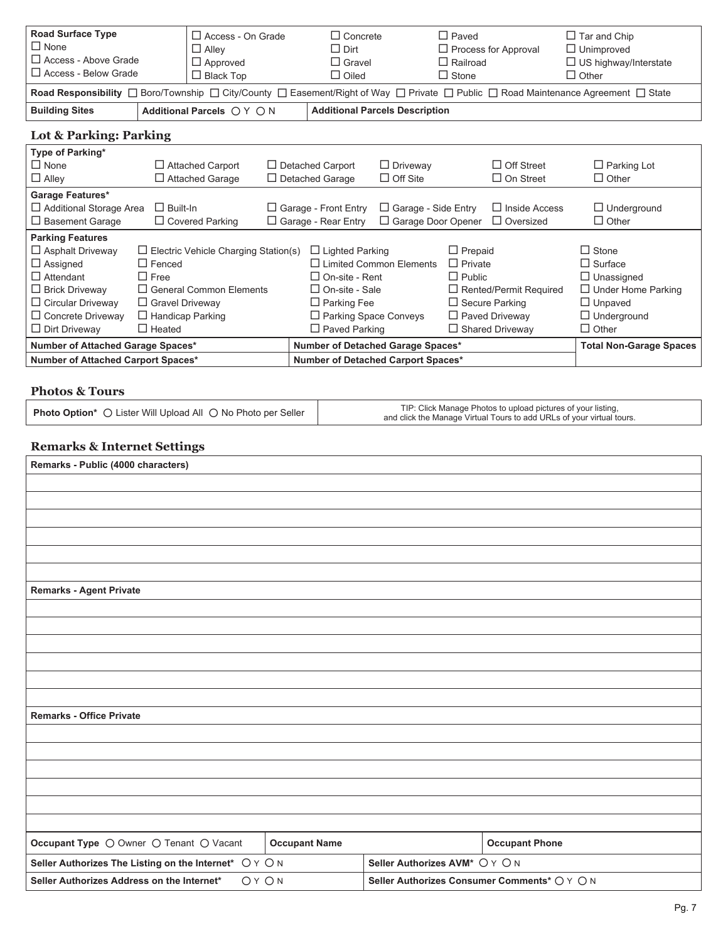| <b>Road Surface Type</b><br>$\Box$ None<br>$\Box$ Access - Above Grade<br>$\Box$ Access - Below Grade                                                                                              | $\Box$ Access - On Grade<br>$\Box$ Alley<br>$\Box$ Approved<br>$\Box$ Black Top<br>Road Responsibility $\Box$ Boro/Township $\Box$ City/County $\Box$ Easement/Right of Way $\Box$ Private $\Box$ Public $\Box$ Road Maintenance Agreement $\Box$ State |  | $\Box$ Concrete<br>$\Box$ Dirt<br>$\Box$ Gravel<br>$\Box$ Oiled                                                                          |                                                                                                                                                                                           | $\Box$ Paved<br>$\Box$ Process for Approval<br>$\Box$ Railroad<br>$\Box$ Stone |                                                                                                                                                           | $\Box$ Tar and Chip<br>$\Box$ Unimproved<br>$\Box$ US highway/Interstate<br>$\Box$ Other                                                 |
|----------------------------------------------------------------------------------------------------------------------------------------------------------------------------------------------------|---------------------------------------------------------------------------------------------------------------------------------------------------------------------------------------------------------------------------------------------------------|--|------------------------------------------------------------------------------------------------------------------------------------------|-------------------------------------------------------------------------------------------------------------------------------------------------------------------------------------------|--------------------------------------------------------------------------------|-----------------------------------------------------------------------------------------------------------------------------------------------------------|------------------------------------------------------------------------------------------------------------------------------------------|
| <b>Building Sites</b>                                                                                                                                                                              | Additional Parcels ○ Y ○ N                                                                                                                                                                                                                              |  |                                                                                                                                          | <b>Additional Parcels Description</b>                                                                                                                                                     |                                                                                |                                                                                                                                                           |                                                                                                                                          |
| Lot & Parking: Parking                                                                                                                                                                             |                                                                                                                                                                                                                                                         |  |                                                                                                                                          |                                                                                                                                                                                           |                                                                                |                                                                                                                                                           |                                                                                                                                          |
| Type of Parking*<br>$\Box$ None<br>$\Box$ Alley                                                                                                                                                    | $\Box$ Attached Carport<br>$\Box$ Attached Garage                                                                                                                                                                                                       |  | $\Box$ Detached Carport<br>$\Box$ Detached Garage                                                                                        | $\Box$ Driveway<br>$\Box$ Off Site                                                                                                                                                        |                                                                                | $\Box$ Off Street<br>$\Box$ On Street                                                                                                                     | $\Box$ Parking Lot<br>$\Box$ Other                                                                                                       |
| Garage Features*<br>$\Box$ Basement Garage                                                                                                                                                         | $\Box$ Built-In<br>$\Box$ Additional Storage Area<br>$\Box$ Covered Parking                                                                                                                                                                             |  | $\Box$ Garage - Front Entry<br>$\Box$ Garage - Side Entry<br>$\Box$ Garage Door Opener<br>$\Box$ Garage - Rear Entry<br>$\Box$ Oversized |                                                                                                                                                                                           | $\Box$ Inside Access                                                           | $\Box$ Underground<br>$\Box$ Other                                                                                                                        |                                                                                                                                          |
| <b>Parking Features</b><br>$\Box$ Asphalt Driveway<br>$\Box$ Assigned<br>$\Box$ Attendant<br>$\Box$ Brick Driveway<br>$\Box$ Circular Driveway<br>$\Box$ Concrete Driveway<br>$\Box$ Dirt Driveway | $\Box$ Electric Vehicle Charging Station(s)<br>$\Box$ Fenced<br>$\Box$ Free<br>$\Box$ General Common Elements<br>□ Gravel Driveway<br>$\Box$ Handicap Parking<br>$\Box$ Heated                                                                          |  |                                                                                                                                          | $\Box$ Lighted Parking<br>$\Box$ I imited Common Flements<br>$\Box$ On-site - Rent<br>$\Box$ On-site - Sale<br>$\Box$ Parking Fee<br>$\Box$ Parking Space Conveys<br>$\Box$ Paved Parking |                                                                                | $\Box$ Prepaid<br>$\Box$ Private<br>$\Box$ Public<br>□ Rented/Permit Required<br>$\Box$ Secure Parking<br>$\Box$ Paved Driveway<br>$\Box$ Shared Driveway | $\Box$ Stone<br>$\Box$ Surface<br>$\Box$ Unassigned<br>$\Box$ Under Home Parking<br>$\Box$ Unpaved<br>$\Box$ Underground<br>$\Box$ Other |
|                                                                                                                                                                                                    | Number of Attached Garage Spaces*<br>Number of Attached Carport Spaces*                                                                                                                                                                                 |  |                                                                                                                                          | Number of Detached Garage Spaces*<br>Number of Detached Carport Spaces*                                                                                                                   |                                                                                |                                                                                                                                                           | <b>Total Non-Garage Spaces</b>                                                                                                           |

#### **Photos & Tours**

| <b>Photo Option*</b> O Lister Will Upload All O No Photo per Seller | TIP: Click Manage Photos to upload pictures of your listing,<br>and click the Manage Virtual Tours to add URLs of your virtual tours. |
|---------------------------------------------------------------------|---------------------------------------------------------------------------------------------------------------------------------------|
|---------------------------------------------------------------------|---------------------------------------------------------------------------------------------------------------------------------------|

# **Remarks & Internet Settings**

| Remarks - Public (4000 characters)                              |                                              |
|-----------------------------------------------------------------|----------------------------------------------|
|                                                                 |                                              |
|                                                                 |                                              |
|                                                                 |                                              |
|                                                                 |                                              |
|                                                                 |                                              |
|                                                                 |                                              |
| <b>Remarks - Agent Private</b>                                  |                                              |
|                                                                 |                                              |
|                                                                 |                                              |
|                                                                 |                                              |
|                                                                 |                                              |
|                                                                 |                                              |
|                                                                 |                                              |
| <b>Remarks - Office Private</b>                                 |                                              |
|                                                                 |                                              |
|                                                                 |                                              |
|                                                                 |                                              |
|                                                                 |                                              |
|                                                                 |                                              |
|                                                                 |                                              |
| Occupant Type O Owner O Tenant O Vacant<br><b>Occupant Name</b> | <b>Occupant Phone</b>                        |
| Seller Authorizes The Listing on the Internet* OYON             | Seller Authorizes AVM* O Y O N               |
| Seller Authorizes Address on the Internet*<br>OY ON             | Seller Authorizes Consumer Comments* O Y O N |